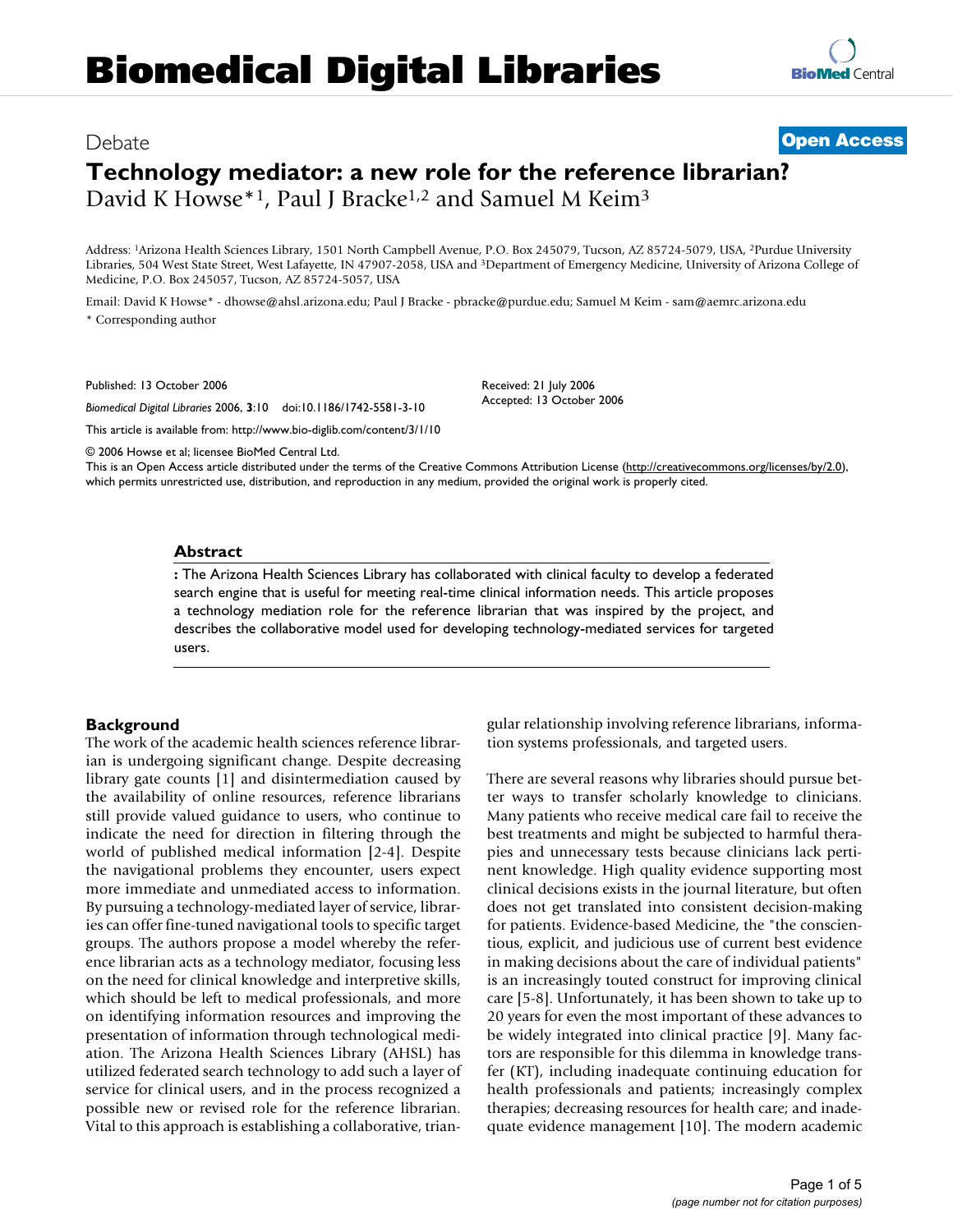# Debate **Open Access**

# **Technology mediator: a new role for the reference librarian?** David K Howse\*<sup>1</sup>, Paul J Bracke<sup>1,2</sup> and Samuel M Keim<sup>3</sup>

Address: 1Arizona Health Sciences Library, 1501 North Campbell Avenue, P.O. Box 245079, Tucson, AZ 85724-5079, USA, 2Purdue University Libraries, 504 West State Street, West Lafayette, IN 47907-2058, USA and 3Department of Emergency Medicine, University of Arizona College of Medicine, P.O. Box 245057, Tucson, AZ 85724-5057, USA

Email: David K Howse\* - dhowse@ahsl.arizona.edu; Paul J Bracke - pbracke@purdue.edu; Samuel M Keim - sam@aemrc.arizona.edu \* Corresponding author

Published: 13 October 2006

*Biomedical Digital Libraries* 2006, **3**:10 doi:10.1186/1742-5581-3-10

This article is available from: http://www.bio-diglib.com/content/3/1/10

© 2006 Howse et al; licensee BioMed Central Ltd.

This is an Open Access article distributed under the terms of the Creative Commons Attribution License (http://creativecommons.org/licenses/by/2.0), which permits unrestricted use, distribution, and reproduction in any medium, provided the original work is properly cited.

Received: 21 July 2006 Accepted: 13 October 2006

## **Abstract**

**:** The Arizona Health Sciences Library has collaborated with clinical faculty to develop a federated search engine that is useful for meeting real-time clinical information needs. This article proposes a technology mediation role for the reference librarian that was inspired by the project, and describes the collaborative model used for developing technology-mediated services for targeted users.

# **Background**

The work of the academic health sciences reference librarian is undergoing significant change. Despite decreasing library gate counts [1] and disintermediation caused by the availability of online resources, reference librarians still provide valued guidance to users, who continue to indicate the need for direction in filtering through the world of published medical information [2-4]. Despite the navigational problems they encounter, users expect more immediate and unmediated access to information. By pursuing a technology-mediated layer of service, libraries can offer fine-tuned navigational tools to specific target groups. The authors propose a model whereby the reference librarian acts as a technology mediator, focusing less on the need for clinical knowledge and interpretive skills, which should be left to medical professionals, and more on identifying information resources and improving the presentation of information through technological mediation. The Arizona Health Sciences Library (AHSL) has utilized federated search technology to add such a layer of service for clinical users, and in the process recognized a possible new or revised role for the reference librarian. Vital to this approach is establishing a collaborative, triangular relationship involving reference librarians, information systems professionals, and targeted users.

There are several reasons why libraries should pursue better ways to transfer scholarly knowledge to clinicians. Many patients who receive medical care fail to receive the best treatments and might be subjected to harmful therapies and unnecessary tests because clinicians lack pertinent knowledge. High quality evidence supporting most clinical decisions exists in the journal literature, but often does not get translated into consistent decision-making for patients. Evidence-based Medicine, the "the conscientious, explicit, and judicious use of current best evidence in making decisions about the care of individual patients" is an increasingly touted construct for improving clinical care [5-8]. Unfortunately, it has been shown to take up to 20 years for even the most important of these advances to be widely integrated into clinical practice [9]. Many factors are responsible for this dilemma in knowledge transfer (KT), including inadequate continuing education for health professionals and patients; increasingly complex therapies; decreasing resources for health care; and inadequate evidence management [10]. The modern academic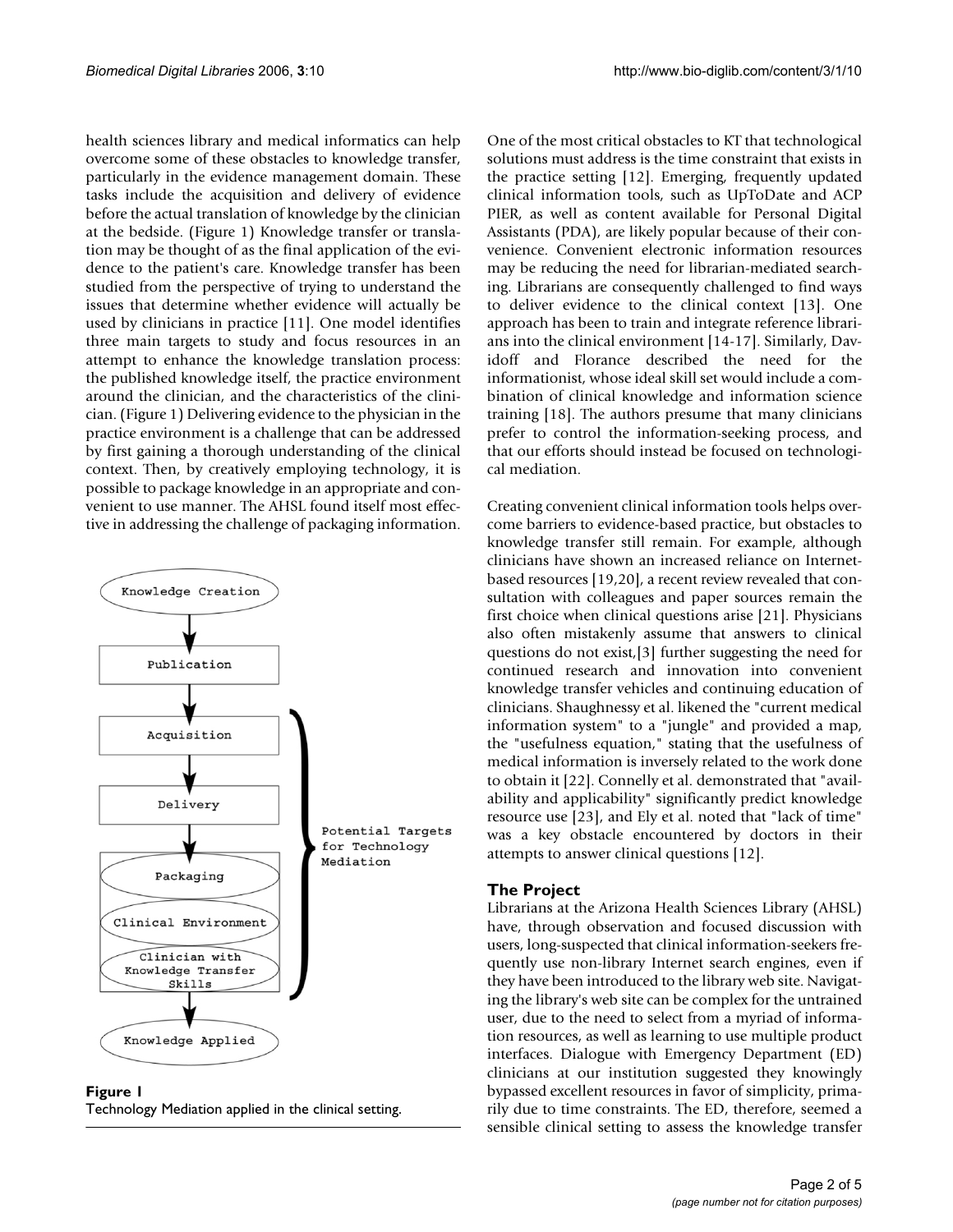health sciences library and medical informatics can help overcome some of these obstacles to knowledge transfer, particularly in the evidence management domain. These tasks include the acquisition and delivery of evidence before the actual translation of knowledge by the clinician at the bedside. (Figure 1) Knowledge transfer or translation may be thought of as the final application of the evidence to the patient's care. Knowledge transfer has been studied from the perspective of trying to understand the issues that determine whether evidence will actually be used by clinicians in practice [11]. One model identifies three main targets to study and focus resources in an attempt to enhance the knowledge translation process: the published knowledge itself, the practice environment around the clinician, and the characteristics of the clinician. (Figure 1) Delivering evidence to the physician in the practice environment is a challenge that can be addressed by first gaining a thorough understanding of the clinical context. Then, by creatively employing technology, it is possible to package knowledge in an appropriate and convenient to use manner. The AHSL found itself most effective in addressing the challenge of packaging information.





One of the most critical obstacles to KT that technological solutions must address is the time constraint that exists in the practice setting [12]. Emerging, frequently updated clinical information tools, such as UpToDate and ACP PIER, as well as content available for Personal Digital Assistants (PDA), are likely popular because of their convenience. Convenient electronic information resources may be reducing the need for librarian-mediated searching. Librarians are consequently challenged to find ways to deliver evidence to the clinical context [13]. One approach has been to train and integrate reference librarians into the clinical environment [14-17]. Similarly, Davidoff and Florance described the need for the informationist, whose ideal skill set would include a combination of clinical knowledge and information science training [18]. The authors presume that many clinicians prefer to control the information-seeking process, and that our efforts should instead be focused on technological mediation.

Creating convenient clinical information tools helps overcome barriers to evidence-based practice, but obstacles to knowledge transfer still remain. For example, although clinicians have shown an increased reliance on Internetbased resources [19,20], a recent review revealed that consultation with colleagues and paper sources remain the first choice when clinical questions arise [21]. Physicians also often mistakenly assume that answers to clinical questions do not exist,[3] further suggesting the need for continued research and innovation into convenient knowledge transfer vehicles and continuing education of clinicians. Shaughnessy et al. likened the "current medical information system" to a "jungle" and provided a map, the "usefulness equation," stating that the usefulness of medical information is inversely related to the work done to obtain it [22]. Connelly et al. demonstrated that "availability and applicability" significantly predict knowledge resource use [23], and Ely et al. noted that "lack of time" was a key obstacle encountered by doctors in their attempts to answer clinical questions [12].

# **The Project**

Librarians at the Arizona Health Sciences Library (AHSL) have, through observation and focused discussion with users, long-suspected that clinical information-seekers frequently use non-library Internet search engines, even if they have been introduced to the library web site. Navigating the library's web site can be complex for the untrained user, due to the need to select from a myriad of information resources, as well as learning to use multiple product interfaces. Dialogue with Emergency Department (ED) clinicians at our institution suggested they knowingly bypassed excellent resources in favor of simplicity, primarily due to time constraints. The ED, therefore, seemed a sensible clinical setting to assess the knowledge transfer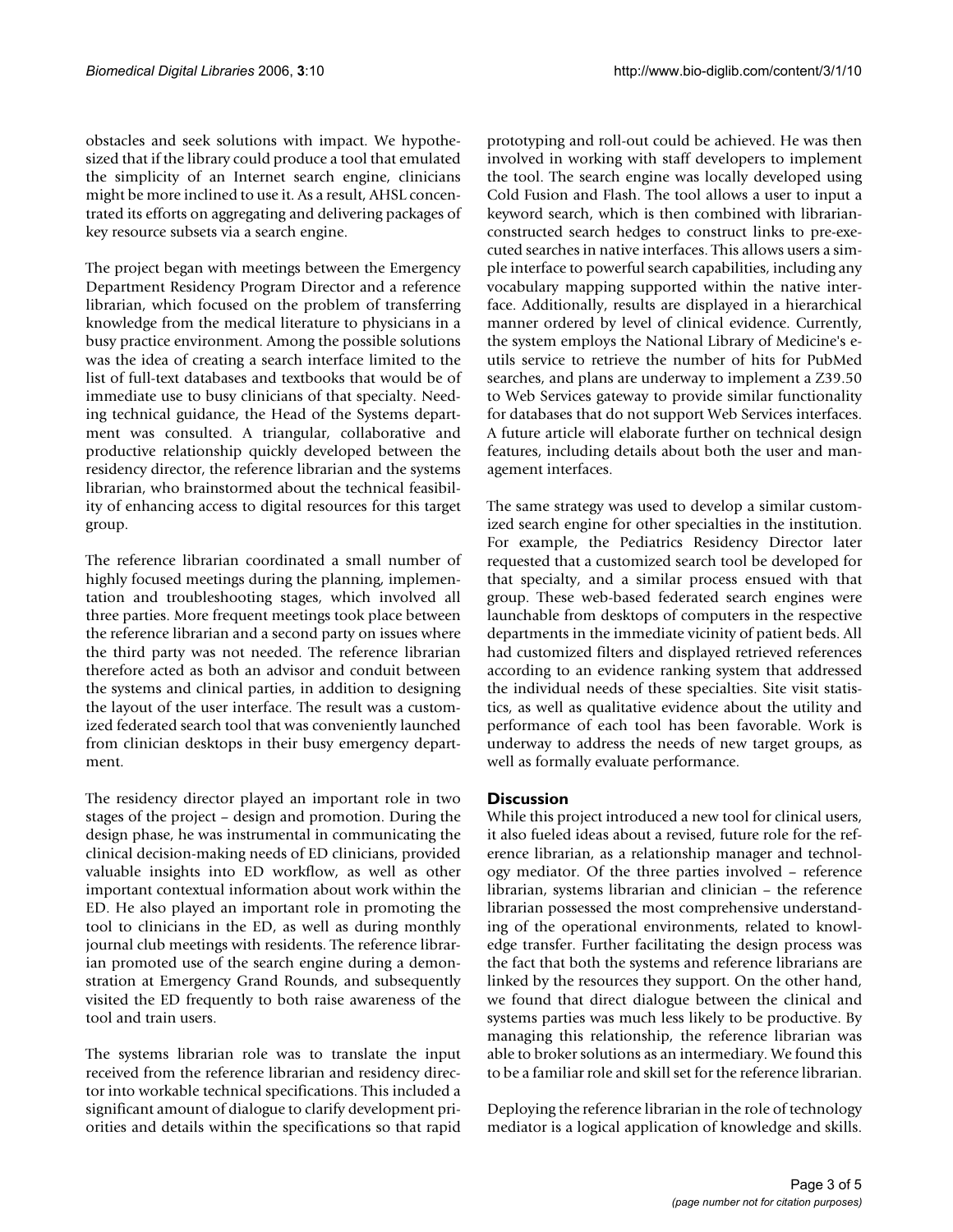obstacles and seek solutions with impact. We hypothesized that if the library could produce a tool that emulated the simplicity of an Internet search engine, clinicians might be more inclined to use it. As a result, AHSL concentrated its efforts on aggregating and delivering packages of key resource subsets via a search engine.

The project began with meetings between the Emergency Department Residency Program Director and a reference librarian, which focused on the problem of transferring knowledge from the medical literature to physicians in a busy practice environment. Among the possible solutions was the idea of creating a search interface limited to the list of full-text databases and textbooks that would be of immediate use to busy clinicians of that specialty. Needing technical guidance, the Head of the Systems department was consulted. A triangular, collaborative and productive relationship quickly developed between the residency director, the reference librarian and the systems librarian, who brainstormed about the technical feasibility of enhancing access to digital resources for this target group.

The reference librarian coordinated a small number of highly focused meetings during the planning, implementation and troubleshooting stages, which involved all three parties. More frequent meetings took place between the reference librarian and a second party on issues where the third party was not needed. The reference librarian therefore acted as both an advisor and conduit between the systems and clinical parties, in addition to designing the layout of the user interface. The result was a customized federated search tool that was conveniently launched from clinician desktops in their busy emergency department.

The residency director played an important role in two stages of the project – design and promotion. During the design phase, he was instrumental in communicating the clinical decision-making needs of ED clinicians, provided valuable insights into ED workflow, as well as other important contextual information about work within the ED. He also played an important role in promoting the tool to clinicians in the ED, as well as during monthly journal club meetings with residents. The reference librarian promoted use of the search engine during a demonstration at Emergency Grand Rounds, and subsequently visited the ED frequently to both raise awareness of the tool and train users.

The systems librarian role was to translate the input received from the reference librarian and residency director into workable technical specifications. This included a significant amount of dialogue to clarify development priorities and details within the specifications so that rapid prototyping and roll-out could be achieved. He was then involved in working with staff developers to implement the tool. The search engine was locally developed using Cold Fusion and Flash. The tool allows a user to input a keyword search, which is then combined with librarianconstructed search hedges to construct links to pre-executed searches in native interfaces. This allows users a simple interface to powerful search capabilities, including any vocabulary mapping supported within the native interface. Additionally, results are displayed in a hierarchical manner ordered by level of clinical evidence. Currently, the system employs the National Library of Medicine's eutils service to retrieve the number of hits for PubMed searches, and plans are underway to implement a Z39.50 to Web Services gateway to provide similar functionality for databases that do not support Web Services interfaces. A future article will elaborate further on technical design features, including details about both the user and management interfaces.

The same strategy was used to develop a similar customized search engine for other specialties in the institution. For example, the Pediatrics Residency Director later requested that a customized search tool be developed for that specialty, and a similar process ensued with that group. These web-based federated search engines were launchable from desktops of computers in the respective departments in the immediate vicinity of patient beds. All had customized filters and displayed retrieved references according to an evidence ranking system that addressed the individual needs of these specialties. Site visit statistics, as well as qualitative evidence about the utility and performance of each tool has been favorable. Work is underway to address the needs of new target groups, as well as formally evaluate performance.

# **Discussion**

While this project introduced a new tool for clinical users, it also fueled ideas about a revised, future role for the reference librarian, as a relationship manager and technology mediator. Of the three parties involved – reference librarian, systems librarian and clinician – the reference librarian possessed the most comprehensive understanding of the operational environments, related to knowledge transfer. Further facilitating the design process was the fact that both the systems and reference librarians are linked by the resources they support. On the other hand, we found that direct dialogue between the clinical and systems parties was much less likely to be productive. By managing this relationship, the reference librarian was able to broker solutions as an intermediary. We found this to be a familiar role and skill set for the reference librarian.

Deploying the reference librarian in the role of technology mediator is a logical application of knowledge and skills.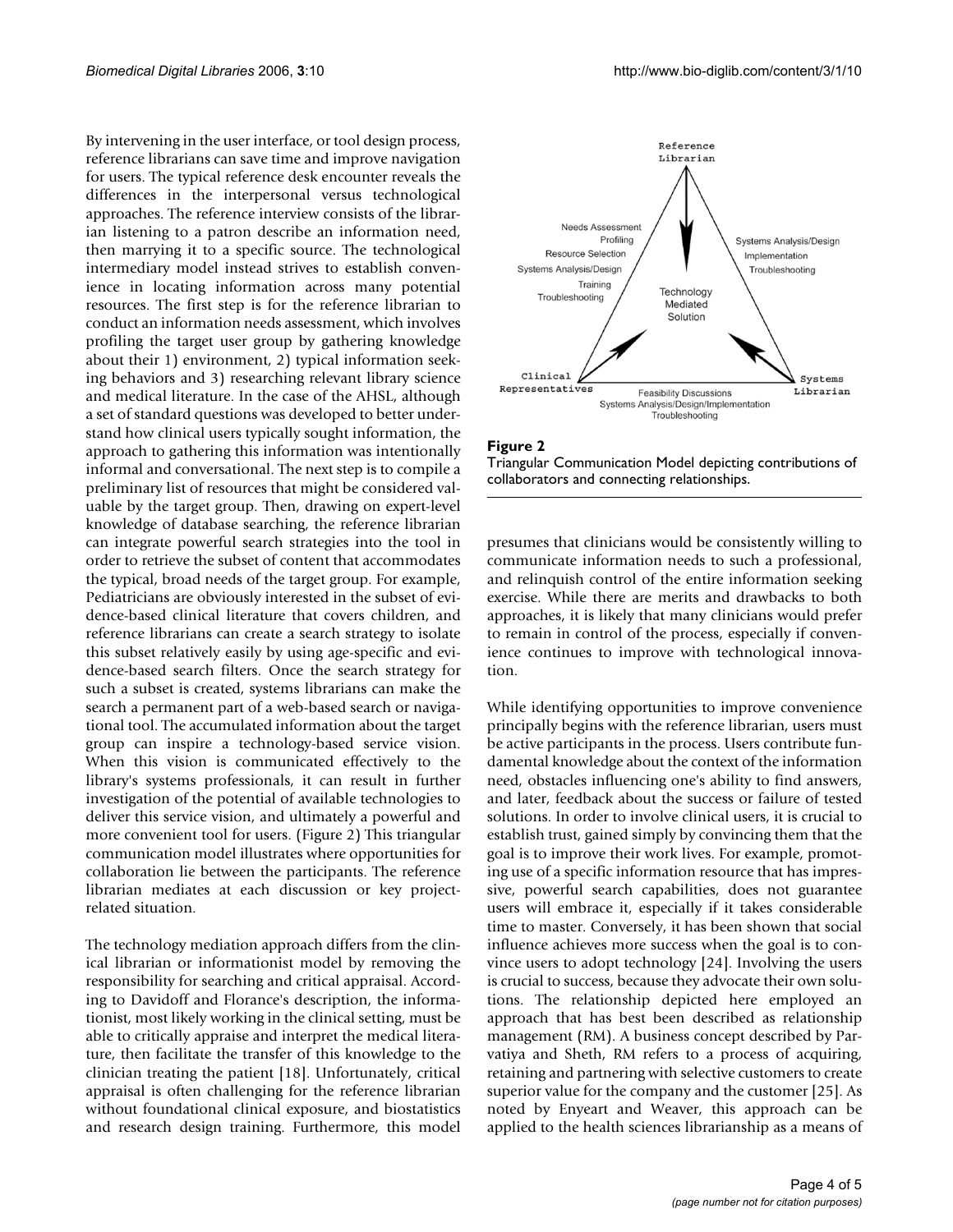By intervening in the user interface, or tool design process, reference librarians can save time and improve navigation for users. The typical reference desk encounter reveals the differences in the interpersonal versus technological approaches. The reference interview consists of the librarian listening to a patron describe an information need, then marrying it to a specific source. The technological intermediary model instead strives to establish convenience in locating information across many potential resources. The first step is for the reference librarian to conduct an information needs assessment, which involves profiling the target user group by gathering knowledge about their 1) environment, 2) typical information seeking behaviors and 3) researching relevant library science and medical literature. In the case of the AHSL, although a set of standard questions was developed to better understand how clinical users typically sought information, the approach to gathering this information was intentionally informal and conversational. The next step is to compile a preliminary list of resources that might be considered valuable by the target group. Then, drawing on expert-level knowledge of database searching, the reference librarian can integrate powerful search strategies into the tool in order to retrieve the subset of content that accommodates the typical, broad needs of the target group. For example, Pediatricians are obviously interested in the subset of evidence-based clinical literature that covers children, and reference librarians can create a search strategy to isolate this subset relatively easily by using age-specific and evidence-based search filters. Once the search strategy for such a subset is created, systems librarians can make the search a permanent part of a web-based search or navigational tool. The accumulated information about the target group can inspire a technology-based service vision. When this vision is communicated effectively to the library's systems professionals, it can result in further investigation of the potential of available technologies to deliver this service vision, and ultimately a powerful and more convenient tool for users. (Figure 2) This triangular communication model illustrates where opportunities for collaboration lie between the participants. The reference librarian mediates at each discussion or key projectrelated situation.

The technology mediation approach differs from the clinical librarian or informationist model by removing the responsibility for searching and critical appraisal. According to Davidoff and Florance's description, the informationist, most likely working in the clinical setting, must be able to critically appraise and interpret the medical literature, then facilitate the transfer of this knowledge to the clinician treating the patient [18]. Unfortunately, critical appraisal is often challenging for the reference librarian without foundational clinical exposure, and biostatistics and research design training. Furthermore, this model







presumes that clinicians would be consistently willing to communicate information needs to such a professional, and relinquish control of the entire information seeking exercise. While there are merits and drawbacks to both approaches, it is likely that many clinicians would prefer to remain in control of the process, especially if convenience continues to improve with technological innovation.

While identifying opportunities to improve convenience principally begins with the reference librarian, users must be active participants in the process. Users contribute fundamental knowledge about the context of the information need, obstacles influencing one's ability to find answers, and later, feedback about the success or failure of tested solutions. In order to involve clinical users, it is crucial to establish trust, gained simply by convincing them that the goal is to improve their work lives. For example, promoting use of a specific information resource that has impressive, powerful search capabilities, does not guarantee users will embrace it, especially if it takes considerable time to master. Conversely, it has been shown that social influence achieves more success when the goal is to convince users to adopt technology [24]. Involving the users is crucial to success, because they advocate their own solutions. The relationship depicted here employed an approach that has best been described as relationship management (RM). A business concept described by Parvatiya and Sheth, RM refers to a process of acquiring, retaining and partnering with selective customers to create superior value for the company and the customer [25]. As noted by Enyeart and Weaver, this approach can be applied to the health sciences librarianship as a means of